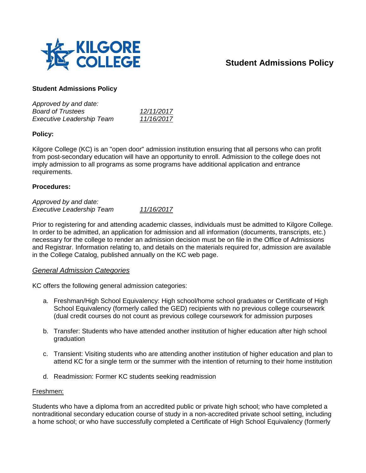

# **Student Admissions Policy**

# **Student Admissions Policy**

| Approved by and date:            |            |
|----------------------------------|------------|
| <b>Board of Trustees</b>         | 12/11/2017 |
| <b>Executive Leadership Team</b> | 11/16/2017 |

# **Policy:**

Kilgore College (KC) is an "open door" admission institution ensuring that all persons who can profit from post-secondary education will have an opportunity to enroll. Admission to the college does not imply admission to all programs as some programs have additional application and entrance requirements.

# **Procedures:**

*Approved by and date: Executive Leadership Team 11/16/2017*

Prior to registering for and attending academic classes, individuals must be admitted to Kilgore College. In order to be admitted, an application for admission and all information (documents, transcripts, etc.) necessary for the college to render an admission decision must be on file in the Office of Admissions and Registrar. Information relating to, and details on the materials required for, admission are available in the College Catalog, published annually on the KC web page.

# *General Admission Categories*

KC offers the following general admission categories:

- a. Freshman/High School Equivalency: High school/home school graduates or Certificate of High School Equivalency (formerly called the GED) recipients with no previous college coursework (dual credit courses do not count as previous college coursework for admission purposes
- b. Transfer: Students who have attended another institution of higher education after high school graduation
- c. Transient: Visiting students who are attending another institution of higher education and plan to attend KC for a single term or the summer with the intention of returning to their home institution
- d. Readmission: Former KC students seeking readmission

### Freshmen:

Students who have a diploma from an accredited public or private high school; who have completed a nontraditional secondary education course of study in a non-accredited private school setting, including a home school; or who have successfully completed a Certificate of High School Equivalency (formerly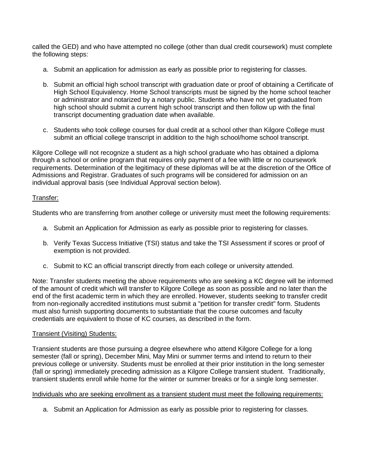called the GED) and who have attempted no college (other than dual credit coursework) must complete the following steps:

- a. Submit an application for admission as early as possible prior to registering for classes.
- b. Submit an official high school transcript with graduation date or proof of obtaining a Certificate of High School Equivalency. Home School transcripts must be signed by the home school teacher or administrator and notarized by a notary public. Students who have not yet graduated from high school should submit a current high school transcript and then follow up with the final transcript documenting graduation date when available.
- c. Students who took college courses for dual credit at a school other than Kilgore College must submit an official college transcript in addition to the high school/home school transcript.

Kilgore College will not recognize a student as a high school graduate who has obtained a diploma through a school or online program that requires only payment of a fee with little or no coursework requirements. Determination of the legitimacy of these diplomas will be at the discretion of the Office of Admissions and Registrar. Graduates of such programs will be considered for admission on an individual approval basis (see Individual Approval section below).

## Transfer:

Students who are transferring from another college or university must meet the following requirements:

- a. Submit an Application for Admission as early as possible prior to registering for classes.
- b. Verify Texas Success Initiative (TSI) status and take the TSI Assessment if scores or proof of exemption is not provided.
- c. Submit to KC an official transcript directly from each college or university attended.

Note: Transfer students meeting the above requirements who are seeking a KC degree will be informed of the amount of credit which will transfer to Kilgore College as soon as possible and no later than the end of the first academic term in which they are enrolled. However, students seeking to transfer credit from non-regionally accredited institutions must submit a "petition for transfer credit" form. Students must also furnish supporting documents to substantiate that the course outcomes and faculty credentials are equivalent to those of KC courses, as described in the form.

### Transient (Visiting) Students:

Transient students are those pursuing a degree elsewhere who attend Kilgore College for a long semester (fall or spring), December Mini, May Mini or summer terms and intend to return to their previous college or university. Students must be enrolled at their prior institution in the long semester (fall or spring) immediately preceding admission as a Kilgore College transient student. Traditionally, transient students enroll while home for the winter or summer breaks or for a single long semester.

### Individuals who are seeking enrollment as a transient student must meet the following requirements:

a. Submit an Application for Admission as early as possible prior to registering for classes.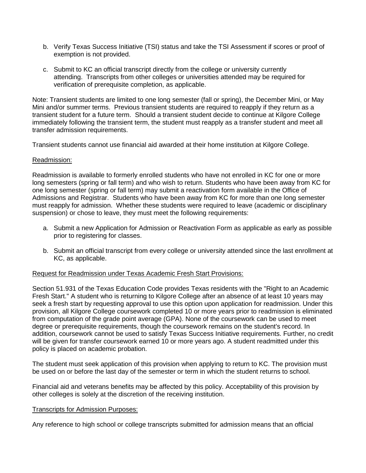- b. Verify Texas Success Initiative (TSI) status and take the TSI Assessment if scores or proof of exemption is not provided.
- c. Submit to KC an official transcript directly from the college or university currently attending. Transcripts from other colleges or universities attended may be required for verification of prerequisite completion, as applicable.

Note: Transient students are limited to one long semester (fall or spring), the December Mini, or May Mini and/or summer terms. Previous transient students are required to reapply if they return as a transient student for a future term. Should a transient student decide to continue at Kilgore College immediately following the transient term, the student must reapply as a transfer student and meet all transfer admission requirements.

Transient students cannot use financial aid awarded at their home institution at Kilgore College.

## Readmission:

Readmission is available to formerly enrolled students who have not enrolled in KC for one or more long semesters (spring or fall term) and who wish to return. Students who have been away from KC for one long semester (spring or fall term) may submit a reactivation form available in the Office of Admissions and Registrar. Students who have been away from KC for more than one long semester must reapply for admission. Whether these students were required to leave (academic or disciplinary suspension) or chose to leave, they must meet the following requirements:

- a. Submit a new Application for Admission or Reactivation Form as applicable as early as possible prior to registering for classes.
- b. Submit an official transcript from every college or university attended since the last enrollment at KC, as applicable.

### Request for Readmission under Texas Academic Fresh Start Provisions:

Section 51.931 of the Texas Education Code provides Texas residents with the "Right to an Academic Fresh Start." A student who is returning to Kilgore College after an absence of at least 10 years may seek a fresh start by requesting approval to use this option upon application for readmission. Under this provision, all Kilgore College coursework completed 10 or more years prior to readmission is eliminated from computation of the grade point average (GPA). None of the coursework can be used to meet degree or prerequisite requirements, though the coursework remains on the student's record. In addition, coursework cannot be used to satisfy Texas Success Initiative requirements. Further, no credit will be given for transfer coursework earned 10 or more years ago. A student readmitted under this policy is placed on academic probation.

The student must seek application of this provision when applying to return to KC. The provision must be used on or before the last day of the semester or term in which the student returns to school.

Financial aid and veterans benefits may be affected by this policy. Acceptability of this provision by other colleges is solely at the discretion of the receiving institution.

### Transcripts for Admission Purposes:

Any reference to high school or college transcripts submitted for admission means that an official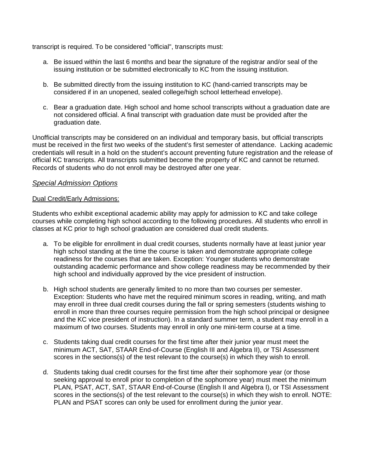transcript is required. To be considered "official", transcripts must:

- a. Be issued within the last 6 months and bear the signature of the registrar and/or seal of the issuing institution or be submitted electronically to KC from the issuing institution.
- b. Be submitted directly from the issuing institution to KC (hand-carried transcripts may be considered if in an unopened, sealed college/high school letterhead envelope).
- c. Bear a graduation date. High school and home school transcripts without a graduation date are not considered official. A final transcript with graduation date must be provided after the graduation date.

Unofficial transcripts may be considered on an individual and temporary basis, but official transcripts must be received in the first two weeks of the student's first semester of attendance. Lacking academic credentials will result in a hold on the student's account preventing future registration and the release of official KC transcripts. All transcripts submitted become the property of KC and cannot be returned. Records of students who do not enroll may be destroyed after one year.

# *Special Admission Options*

## Dual Credit/Early Admissions:

Students who exhibit exceptional academic ability may apply for admission to KC and take college courses while completing high school according to the following procedures. All students who enroll in classes at KC prior to high school graduation are considered dual credit students.

- a. To be eligible for enrollment in dual credit courses, students normally have at least junior year high school standing at the time the course is taken and demonstrate appropriate college readiness for the courses that are taken. Exception: Younger students who demonstrate outstanding academic performance and show college readiness may be recommended by their high school and individually approved by the vice president of instruction.
- b. High school students are generally limited to no more than two courses per semester. Exception: Students who have met the required minimum scores in reading, writing, and math may enroll in three dual credit courses during the fall or spring semesters (students wishing to enroll in more than three courses require permission from the high school principal or designee and the KC vice president of instruction). In a standard summer term, a student may enroll in a maximum of two courses. Students may enroll in only one mini-term course at a time.
- c. Students taking dual credit courses for the first time after their junior year must meet the minimum ACT, SAT, STAAR End-of-Course (English III and Algebra II), or TSI Assessment scores in the sections(s) of the test relevant to the course(s) in which they wish to enroll.
- d. Students taking dual credit courses for the first time after their sophomore year (or those seeking approval to enroll prior to completion of the sophomore year) must meet the minimum PLAN, PSAT, ACT, SAT, STAAR End-of-Course (English II and Algebra I), or TSI Assessment scores in the sections(s) of the test relevant to the course(s) in which they wish to enroll. NOTE: PLAN and PSAT scores can only be used for enrollment during the junior year.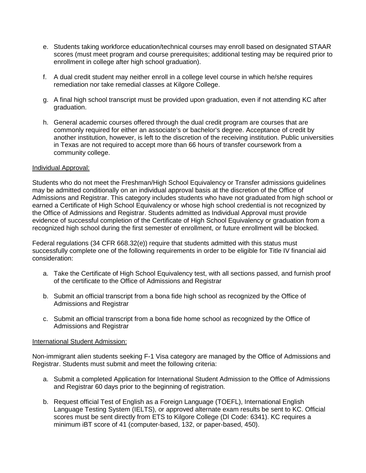- e. Students taking workforce education/technical courses may enroll based on designated STAAR scores (must meet program and course prerequisites; additional testing may be required prior to enrollment in college after high school graduation).
- f. A dual credit student may neither enroll in a college level course in which he/she requires remediation nor take remedial classes at Kilgore College.
- g. A final high school transcript must be provided upon graduation, even if not attending KC after graduation.
- h. General academic courses offered through the dual credit program are courses that are commonly required for either an associate's or bachelor's degree. Acceptance of credit by another institution, however, is left to the discretion of the receiving institution. Public universities in Texas are not required to accept more than 66 hours of transfer coursework from a community college.

## Individual Approval:

Students who do not meet the Freshman/High School Equivalency or Transfer admissions guidelines may be admitted conditionally on an individual approval basis at the discretion of the Office of Admissions and Registrar. This category includes students who have not graduated from high school or earned a Certificate of High School Equivalency or whose high school credential is not recognized by the Office of Admissions and Registrar. Students admitted as Individual Approval must provide evidence of successful completion of the Certificate of High School Equivalency or graduation from a recognized high school during the first semester of enrollment, or future enrollment will be blocked.

Federal regulations (34 CFR 668.32(e)) require that students admitted with this status must successfully complete one of the following requirements in order to be eligible for Title IV financial aid consideration:

- a. Take the Certificate of High School Equivalency test, with all sections passed, and furnish proof of the certificate to the Office of Admissions and Registrar
- b. Submit an official transcript from a bona fide high school as recognized by the Office of Admissions and Registrar
- c. Submit an official transcript from a bona fide home school as recognized by the Office of Admissions and Registrar

# International Student Admission:

Non-immigrant alien students seeking F-1 Visa category are managed by the Office of Admissions and Registrar. Students must submit and meet the following criteria:

- a. Submit a completed Application for International Student Admission to the Office of Admissions and Registrar 60 days prior to the beginning of registration.
- b. Request official Test of English as a Foreign Language (TOEFL), International English Language Testing System (IELTS), or approved alternate exam results be sent to KC. Official scores must be sent directly from ETS to Kilgore College (DI Code: 6341). KC requires a minimum iBT score of 41 (computer-based, 132, or paper-based, 450).